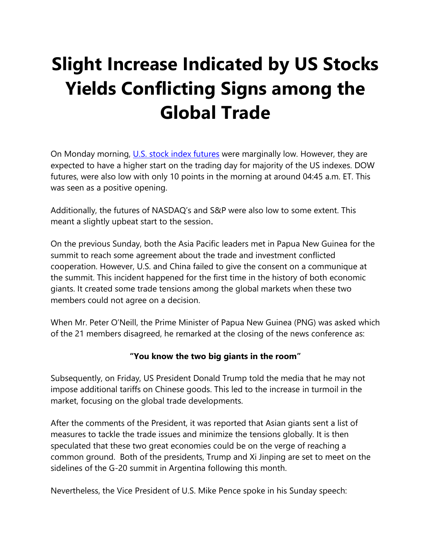## **Slight Increase Indicated by US Stocks Yields Conflicting Signs among the Global Trade**

On Monday morning, [U.S. stock index futures](https://www.cnbc.com/pre-markets/) were marginally low. However, they are expected to have a higher start on the trading day for majority of the US indexes. DOW futures, were also low with only 10 points in the morning at around 04:45 a.m. ET. This was seen as a positive opening.

Additionally, the futures of NASDAQ's and S&P were also low to some extent. This meant a slightly upbeat start to the session.

On the previous Sunday, both the Asia Pacific leaders met in Papua New Guinea for the summit to reach some agreement about the trade and investment conflicted cooperation. However, U.S. and China failed to give the consent on a communique at the summit. This incident happened for the first time in the history of both economic giants. It created some trade tensions among the global markets when these two members could not agree on a decision.

When Mr. Peter O'Neill, the Prime Minister of Papua New Guinea (PNG) was asked which of the 21 members disagreed, he remarked at the closing of the news conference as:

## **"You know the two big giants in the room"**

Subsequently, on Friday, US President Donald Trump told the media that he may not impose additional tariffs on Chinese goods. This led to the increase in turmoil in the market, focusing on the global trade developments.

After the comments of the President, it was reported that Asian giants sent a list of measures to tackle the trade issues and minimize the tensions globally. It is then speculated that these two great economies could be on the verge of reaching a common ground. Both of the presidents, Trump and Xi Jinping are set to meet on the sidelines of the G-20 summit in Argentina following this month.

Nevertheless, the Vice President of U.S. Mike Pence spoke in his Sunday speech: